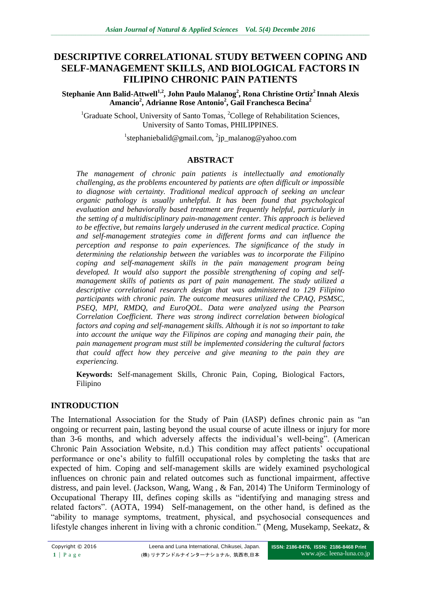# **DESCRIPTIVE CORRELATIONAL STUDY BETWEEN COPING AND SELF-MANAGEMENT SKILLS, AND BIOLOGICAL FACTORS IN FILIPINO CHRONIC PAIN PATIENTS**

**Stephanie Ann Balid-Attwell1,2, John Paulo Malanog<sup>2</sup> , Rona Christine Ortiz<sup>2</sup> Innah Alexis Amancio<sup>2</sup> , Adrianne Rose Antonio<sup>2</sup> , Gail Franchesca Becina<sup>2</sup>**

<sup>1</sup>Graduate School, University of Santo Tomas, <sup>2</sup>College of Rehabilitation Sciences, University of Santo Tomas, PHILIPPINES.

<sup>1</sup>stephaniebalid@gmail.com, <sup>2</sup>jp\_malanog@yahoo.com

# **ABSTRACT**

*The management of chronic pain patients is intellectually and emotionally challenging, as the problems encountered by patients are often difficult or impossible to diagnose with certainty. Traditional medical approach of seeking an unclear organic pathology is usually unhelpful. It has been found that psychological evaluation and behaviorally based treatment are frequently helpful, particularly in the setting of a multidisciplinary pain-management center. This approach is believed to be effective, but remains largely underused in the current medical practice. Coping and self-management strategies come in different forms and can influence the perception and response to pain experiences. The significance of the study in determining the relationship between the variables was to incorporate the Filipino coping and self-management skills in the pain management program being developed. It would also support the possible strengthening of coping and selfmanagement skills of patients as part of pain management. The study utilized a descriptive correlational research design that was administered to 129 Filipino participants with chronic pain. The outcome measures utilized the CPAQ, PSMSC, PSEQ, MPI, RMDQ, and EuroQOL. Data were analyzed using the Pearson Correlation Coefficient. There was strong indirect correlation between biological factors and coping and self-management skills. Although it is not so important to take into account the unique way the Filipinos are coping and managing their pain, the pain management program must still be implemented considering the cultural factors that could affect how they perceive and give meaning to the pain they are experiencing.* 

**Keywords:** Self-management Skills, Chronic Pain, Coping, Biological Factors, Filipino

## **INTRODUCTION**

The International Association for the Study of Pain (IASP) defines chronic pain as "an ongoing or recurrent pain, lasting beyond the usual course of acute illness or injury for more than 3-6 months, and which adversely affects the individual's well-being". (American Chronic Pain Association Website, n.d.) This condition may affect patients' occupational performance or one's ability to fulfill occupational roles by completing the tasks that are expected of him. Coping and self-management skills are widely examined psychological influences on chronic pain and related outcomes such as functional impairment, affective distress, and pain level. (Jackson, Wang, Wang , & Fan, 2014) The Uniform Terminology of Occupational Therapy III, defines coping skills as "identifying and managing stress and related factors". (AOTA, 1994) Self-management, on the other hand, is defined as the "ability to manage symptoms, treatment, physical, and psychosocial consequences and lifestyle changes inherent in living with a chronic condition." (Meng, Musekamp, Seekatz, &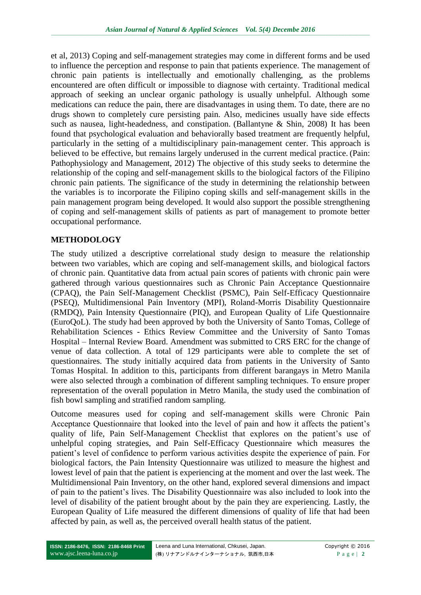et al, 2013) Coping and self-management strategies may come in different forms and be used to influence the perception and response to pain that patients experience. The management of chronic pain patients is intellectually and emotionally challenging, as the problems encountered are often difficult or impossible to diagnose with certainty. Traditional medical approach of seeking an unclear organic pathology is usually unhelpful. Although some medications can reduce the pain, there are disadvantages in using them. To date, there are no drugs shown to completely cure persisting pain. Also, medicines usually have side effects such as nausea, light-headedness, and constipation. (Ballantyne & Shin, 2008) It has been found that psychological evaluation and behaviorally based treatment are frequently helpful, particularly in the setting of a multidisciplinary pain-management center. This approach is believed to be effective, but remains largely underused in the current medical practice. (Pain: Pathophysiology and Management, 2012) The objective of this study seeks to determine the relationship of the coping and self-management skills to the biological factors of the Filipino chronic pain patients. The significance of the study in determining the relationship between the variables is to incorporate the Filipino coping skills and self-management skills in the pain management program being developed. It would also support the possible strengthening of coping and self-management skills of patients as part of management to promote better occupational performance.

## **METHODOLOGY**

The study utilized a descriptive correlational study design to measure the relationship between two variables, which are coping and self-management skills, and biological factors of chronic pain. Quantitative data from actual pain scores of patients with chronic pain were gathered through various questionnaires such as Chronic Pain Acceptance Questionnaire (CPAQ), the Pain Self-Management Checklist (PSMC), Pain Self-Efficacy Questionnaire (PSEQ), Multidimensional Pain Inventory (MPI), Roland-Morris Disability Questionnaire (RMDQ), Pain Intensity Questionnaire (PIQ), and European Quality of Life Questionnaire (EuroQoL). The study had been approved by both the University of Santo Tomas, College of Rehabilitation Sciences - Ethics Review Committee and the University of Santo Tomas Hospital – Internal Review Board. Amendment was submitted to CRS ERC for the change of venue of data collection. A total of 129 participants were able to complete the set of questionnaires. The study initially acquired data from patients in the University of Santo Tomas Hospital. In addition to this, participants from different barangays in Metro Manila were also selected through a combination of different sampling techniques. To ensure proper representation of the overall population in Metro Manila, the study used the combination of fish bowl sampling and stratified random sampling.

Outcome measures used for coping and self-management skills were Chronic Pain Acceptance Questionnaire that looked into the level of pain and how it affects the patient's quality of life, Pain Self-Management Checklist that explores on the patient's use of unhelpful coping strategies, and Pain Self-Efficacy Questionnaire which measures the patient's level of confidence to perform various activities despite the experience of pain. For biological factors, the Pain Intensity Questionnaire was utilized to measure the highest and lowest level of pain that the patient is experiencing at the moment and over the last week. The Multidimensional Pain Inventory, on the other hand, explored several dimensions and impact of pain to the patient's lives. The Disability Questionnaire was also included to look into the level of disability of the patient brought about by the pain they are experiencing. Lastly, the European Quality of Life measured the different dimensions of quality of life that had been affected by pain, as well as, the perceived overall health status of the patient.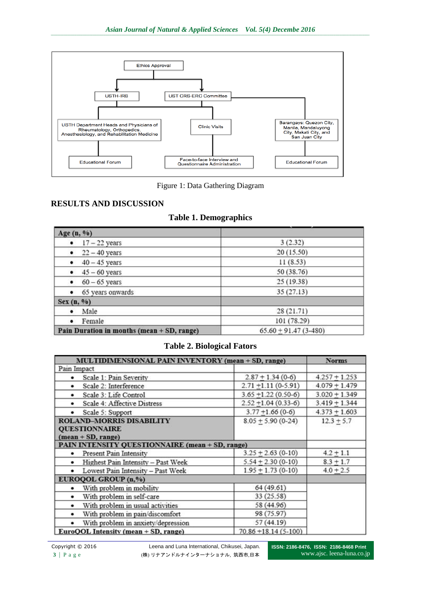

Figure 1: Data Gathering Diagram

## **RESULTS AND DISCUSSION**

|  |  | <b>Table 1. Demographics</b> |  |
|--|--|------------------------------|--|
|--|--|------------------------------|--|

| Age (n, %)                                 |                          |
|--------------------------------------------|--------------------------|
| $\bullet$ 17 - 22 years                    | 3(2.32)                  |
| $\bullet$ 22 - 40 years                    | 20(15.50)                |
| $\bullet$ 40 - 45 years                    | 11(8.53)                 |
| $\bullet$ 45 - 60 years                    | 50 (38.76)               |
| • $60 - 65$ years                          | 25(19.38)                |
| • 65 years onwards                         | 35(27.13)                |
| Sex (n, %)                                 |                          |
| · Male                                     | 28(21.71)                |
| • Female                                   | 101 (78.29)              |
| Pain Duration in months (mean + SD, range) | $65.60 + 91.47(3 - 480)$ |

#### **Table 2. Biological Fators**

| <b>MULTIDIMENSIONAL PAIN INVENTORY (mean + SD, range)</b>                       | <b>Norms</b>             |                 |
|---------------------------------------------------------------------------------|--------------------------|-----------------|
| Pain Impact                                                                     |                          |                 |
| Scale 1: Pain Severity                                                          | $2.87 + 1.34(0-6)$       | $4.257 + 1.253$ |
| Scale 2: Interference                                                           | $2.71 + 1.11(0-5.91)$    | $4.079 + 1.479$ |
| Scale 3: Life Control<br>٠                                                      | $3.65 + 1.22(0.50-6)$    | $3.020 + 1.349$ |
| Scale 4: Affective Distress                                                     | $2.52 + 1.04(0.33-6)$    | $3.419 + 1.344$ |
| Scale 5: Support                                                                | $3.77 + 1.66(0-6)$       | $4.373 + 1.603$ |
| <b>ROLAND-MORRIS DISABILITY</b><br><b>QUESTIONNAIRE</b><br>$(mean + SD, range)$ | $12.3 + 5.7$             |                 |
| PAIN INTENSITY QUESTIONNAIRE (mean + SD, range)                                 |                          |                 |
| <b>Present Pain Intensity</b>                                                   | $3.25 + 2.63(0-10)$      | $4.2 + 1.1$     |
| Highest Pain Intensity - Past Week<br>٠                                         | $5.54 + 2.30(0-10)$      | $8.3 + 1.7$     |
| Lowest Pain Intensity - Past Week<br>٠                                          | $1.95 + 1.73(0-10)$      | $4.0 + 2.5$     |
| EUROQOL GROUP (n,%)                                                             |                          |                 |
| With problem in mobility                                                        | 64 (49.61)               |                 |
| With problem in self-care<br>٠                                                  | 33 (25.58)               |                 |
| With problem in usual activities<br>٠                                           | 58 (44.96)               |                 |
| With problem in pain/discomfort<br>٠                                            | 98 (75.97)               |                 |
| With problem in anxiety/depression<br>٠                                         | 57 (44.19)               |                 |
| EuroQOL Intensity (mean + SD, range)                                            | $70.86 + 18.14(5 - 100)$ |                 |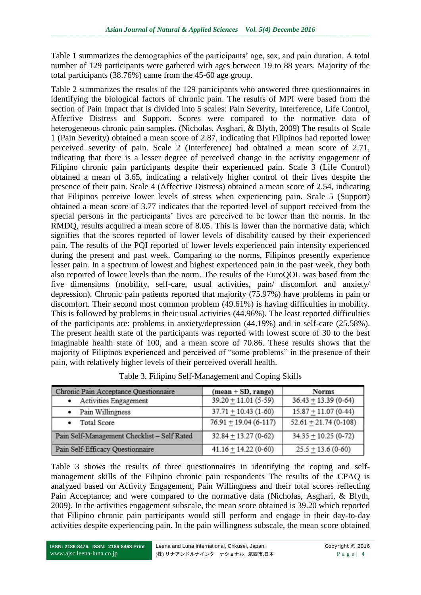Table 1 summarizes the demographics of the participants' age, sex, and pain duration. A total number of 129 participants were gathered with ages between 19 to 88 years. Majority of the total participants (38.76%) came from the 45-60 age group.

Table 2 summarizes the results of the 129 participants who answered three questionnaires in identifying the biological factors of chronic pain. The results of MPI were based from the section of Pain Impact that is divided into 5 scales: Pain Severity, Interference, Life Control, Affective Distress and Support. Scores were compared to the normative data of heterogeneous chronic pain samples. (Nicholas, Asghari, & Blyth, 2009) The results of Scale 1 (Pain Severity) obtained a mean score of 2.87, indicating that Filipinos had reported lower perceived severity of pain. Scale 2 (Interference) had obtained a mean score of 2.71, indicating that there is a lesser degree of perceived change in the activity engagement of Filipino chronic pain participants despite their experienced pain. Scale 3 (Life Control) obtained a mean of 3.65, indicating a relatively higher control of their lives despite the presence of their pain. Scale 4 (Affective Distress) obtained a mean score of 2.54, indicating that Filipinos perceive lower levels of stress when experiencing pain. Scale 5 (Support) obtained a mean score of 3.77 indicates that the reported level of support received from the special persons in the participants' lives are perceived to be lower than the norms. In the RMDQ, results acquired a mean score of 8.05. This is lower than the normative data, which signifies that the scores reported of lower levels of disability caused by their experienced pain. The results of the PQI reported of lower levels experienced pain intensity experienced during the present and past week. Comparing to the norms, Filipinos presently experience lesser pain. In a spectrum of lowest and highest experienced pain in the past week, they both also reported of lower levels than the norm. The results of the EuroQOL was based from the five dimensions (mobility, self-care, usual activities, pain/ discomfort and anxiety/ depression). Chronic pain patients reported that majority (75.97%) have problems in pain or discomfort. Their second most common problem (49.61%) is having difficulties in mobility. This is followed by problems in their usual activities (44.96%). The least reported difficulties of the participants are: problems in anxiety/depression (44.19%) and in self-care (25.58%). The present health state of the participants was reported with lowest score of 30 to the best imaginable health state of 100, and a mean score of 70.86. These results shows that the majority of Filipinos experienced and perceived of "some problems" in the presence of their pain, with relatively higher levels of their perceived overall health.

| Chronic Pain Acceptance Questionnaire       | $(mean + SD, range)$     | <b>Norms</b>           |  |
|---------------------------------------------|--------------------------|------------------------|--|
| • Activities Engagement                     | $39.20 + 11.01(5-59)$    | $36.43 + 13.39(0-64)$  |  |
| • Pain Willingness                          | $37.71 + 10.43(1-60)$    | $15.87 + 11.07(0-44)$  |  |
| <b>Total Score</b>                          | $76.91 + 19.04(6-117)$   | $52.61 + 21.74(0-108)$ |  |
| Pain Self-Management Checklist - Self Rated | $32.84 + 13.27(0-62)$    | $34.35 + 10.25(0-72)$  |  |
| Pain Self-Efficacy Questionnaire            | $41.16 \pm 14.22$ (0-60) | $25.5 \pm 13.6$ (0-60) |  |

Table 3. Filipino Self-Management and Coping Skills

Table 3 shows the results of three questionnaires in identifying the coping and selfmanagement skills of the Filipino chronic pain respondents The results of the CPAQ is analyzed based on Activity Engagement, Pain Willingness and their total scores reflecting Pain Acceptance; and were compared to the normative data (Nicholas, Asghari, & Blyth, 2009). In the activities engagement subscale, the mean score obtained is 39.20 which reported that Filipino chronic pain participants would still perform and engage in their day-to-day activities despite experiencing pain. In the pain willingness subscale, the mean score obtained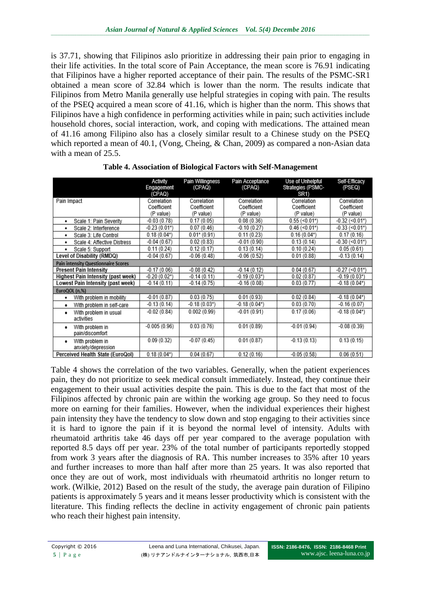is 37.71, showing that Filipinos aslo prioritize in addressing their pain prior to engaging in their life activities. In the total score of Pain Acceptance, the mean score is 76.91 indicating that Filipinos have a higher reported acceptance of their pain. The results of the PSMC-SR1 obtained a mean score of 32.84 which is lower than the norm. The results indicate that Filipinos from Metro Manila generally use helpful strategies in coping with pain. The results of the PSEQ acquired a mean score of 41.16, which is higher than the norm. This shows that Filipinos have a high confidence in performing activities while in pain; such activities include household chores, social interaction, work, and coping with medications. The attained mean of 41.16 among Filipino also has a closely similar result to a Chinese study on the PSEQ which reported a mean of 40.1, (Vong, Cheing, & Chan, 2009) as compared a non-Asian data with a mean of 25.5.

|                                            | Activity<br>Engagement<br>(CPAQ) | Pain Willingness<br>(CPAQ) | Pain Acceptance<br>(CPAQ) | <b>Use of Unhelpful</b><br>Strategies (PSMC-<br>SR <sub>1</sub> | Self-Efficacy<br>(PSEQ) |
|--------------------------------------------|----------------------------------|----------------------------|---------------------------|-----------------------------------------------------------------|-------------------------|
| Pain Impact                                | Correlation                      | Correlation                | Correlation               | Correlation                                                     | Correlation             |
|                                            | Coefficient                      | Coefficient                | Coefficient               | Coefficient                                                     | Coefficient             |
|                                            | (P value)                        | (P value)                  | (P value)                 | (P value)                                                       | (P value)               |
| Scale 1: Pain Severity<br>٠                | $-0.03(0.78)$                    | 0.17(0.05)                 | 0.08(0.36)                | $0.55 \, (\leq 0.01^*)$                                         | $-0.32$ (<0.01*)        |
| Scale 2: Interference<br>٠                 | $-0.23(0.01*)$                   | 0.07(0.46)                 | $-0.10(0.27)$             | $0.46 \, (< 0.01*)$                                             | $-0.33$ (<0.01*)        |
| Scale 3: Life Control<br>٠                 | $0.18(0.04*)$                    | $0.01* (0.91)$             | 0.11(0.23)                | $0.16(0.04*)$                                                   | 0.17(0.16)              |
| Scale 4: Affective Distress<br>٠           | $-0.04(0.67)$                    | 0.02(0.83)                 | $-0.01(0.90)$             | 0.13(0.14)                                                      | $-0.30$ (<0.01*)        |
| Scale 5: Support<br>٠                      | 0.11(0.24)                       | 0.12(0.17)                 | 0.13(0.14)                | 0.10(0.24)                                                      | 0.05(0.61)              |
| Level of Disability (RMDQ)                 | $-0.04(0.67)$                    | $-0.06(0.48)$              | $-0.06(0.52)$             | 0.01(0.88)                                                      | $-0.13(0.14)$           |
| <b>Pain intensity Questionnaire Scores</b> |                                  |                            |                           |                                                                 |                         |
| <b>Present Pain Intensity</b>              | $-0.17(0.06)$                    | $-0.08(0.42)$              | $-0.14(0.12)$             | 0.04(0.67)                                                      | $-0.27$ (<0.01*)        |
| Highest Pain Intensity (past week)         | $-0.20(0.02*)$                   | $-0.14(0.11)$              | $-0.19(0.03*)$            | 0.02(0.87)                                                      | $-0.19(0.03*)$          |
| Lowest Pain Intensity (past week)          | $-0.14(0.11)$                    | $-0.14(0.75)$              | $-0.16(0.08)$             | 0.03(0.77)                                                      | $-0.18(0.04*)$          |
| EuroQOL (n,%)                              |                                  |                            |                           |                                                                 |                         |
| With problem in mobility<br>٠              | $-0.01(0.87)$                    | 0.03(0.75)                 | 0.01(0.93)                | 0.02(0.84)                                                      | $-0.18(0.04*)$          |
| With problem in self-care<br>٠             | $-0.13(0.14)$                    | $-0.18(0.03*)$             | $-0.18(0.04*)$            | 0.03(0.70)                                                      | $-0.16(0.07)$           |
| With problem in usual<br>٠<br>activities   | $-0.02(0.84)$                    | 0.002(0.99)                | $-0.01(0.91)$             | 0.17(0.06)                                                      | $-0.18(0.04*)$          |
| With problem in<br>٠<br>pain/discomfort    | $-0.005(0.96)$                   | 0.03(0.76)                 | 0.01(0.89)                | $-0.01(0.94)$                                                   | $-0.08(0.39)$           |
| With problem in<br>٠<br>anxiety/depression | 0.09(0.32)                       | $-0.07(0.45)$              | 0.01(0.87)                | $-0.13(0.13)$                                                   | 0.13(0.15)              |
| Perceived Health State (EuroQol)           | $0.18(0.04*)$                    | 0.04(0.67)                 | 0.12(0.16)                | $-0.05(0.58)$                                                   | 0.06(0.51)              |

**Table 4. Association of Biological Factors with Self-Management**

Table 4 shows the correlation of the two variables. Generally, when the patient experiences pain, they do not prioritize to seek medical consult immediately. Instead, they continue their engagement to their usual activities despite the pain. This is due to the fact that most of the Filipinos affected by chronic pain are within the working age group. So they need to focus more on earning for their families. However, when the individual experiences their highest pain intensity they have the tendency to slow down and stop engaging to their activities since it is hard to ignore the pain if it is beyond the normal level of intensity. Adults with rheumatoid arthritis take 46 days off per year compared to the average population with reported 8.5 days off per year. 23% of the total number of participants reportedly stopped from work 3 years after the diagnosis of RA. This number increases to 35% after 10 years and further increases to more than half after more than 25 years. It was also reported that once they are out of work, most individuals with rheumatoid arthritis no longer return to work. (Wilkie, 2012) Based on the result of the study, the average pain duration of Filipino patients is approximately 5 years and it means lesser productivity which is consistent with the literature. This finding reflects the decline in activity engagement of chronic pain patients who reach their highest pain intensity.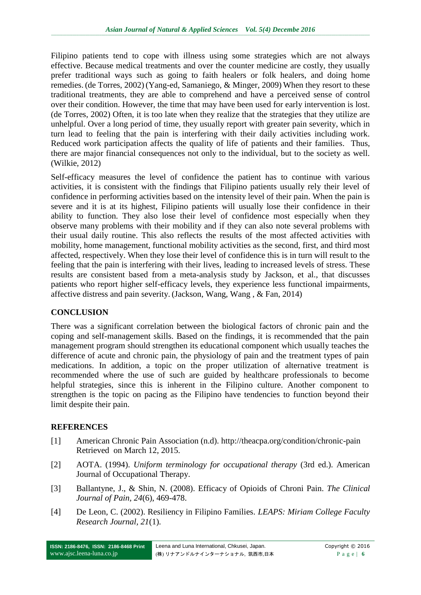Filipino patients tend to cope with illness using some strategies which are not always effective. Because medical treatments and over the counter medicine are costly, they usually prefer traditional ways such as going to faith healers or folk healers, and doing home remedies. (de Torres, 2002) (Yang-ed, Samaniego, & Minger, 2009) When they resort to these traditional treatments, they are able to comprehend and have a perceived sense of control over their condition. However, the time that may have been used for early intervention is lost. (de Torres, 2002) Often, it is too late when they realize that the strategies that they utilize are unhelpful. Over a long period of time, they usually report with greater pain severity, which in turn lead to feeling that the pain is interfering with their daily activities including work. Reduced work participation affects the quality of life of patients and their families. Thus, there are major financial consequences not only to the individual, but to the society as well. (Wilkie, 2012)

Self-efficacy measures the level of confidence the patient has to continue with various activities, it is consistent with the findings that Filipino patients usually rely their level of confidence in performing activities based on the intensity level of their pain. When the pain is severe and it is at its highest, Filipino patients will usually lose their confidence in their ability to function. They also lose their level of confidence most especially when they observe many problems with their mobility and if they can also note several problems with their usual daily routine. This also reflects the results of the most affected activities with mobility, home management, functional mobility activities as the second, first, and third most affected, respectively. When they lose their level of confidence this is in turn will result to the feeling that the pain is interfering with their lives, leading to increased levels of stress. These results are consistent based from a meta-analysis study by Jackson, et al., that discusses patients who report higher self-efficacy levels, they experience less functional impairments, affective distress and pain severity. (Jackson, Wang, Wang , & Fan, 2014)

## **CONCLUSION**

There was a significant correlation between the biological factors of chronic pain and the coping and self-management skills. Based on the findings, it is recommended that the pain management program should strengthen its educational component which usually teaches the difference of acute and chronic pain, the physiology of pain and the treatment types of pain medications. In addition, a topic on the proper utilization of alternative treatment is recommended where the use of such are guided by healthcare professionals to become helpful strategies, since this is inherent in the Filipino culture. Another component to strengthen is the topic on pacing as the Filipino have tendencies to function beyond their limit despite their pain.

## **REFERENCES**

- [1] American Chronic Pain Association (n.d). http://theacpa.org/condition/chronic-pain Retrieved on March 12, 2015.
- [2] AOTA. (1994). *Uniform terminology for occupational therapy* (3rd ed.). American Journal of Occupational Therapy.
- [3] Ballantyne, J., & Shin, N. (2008). Efficacy of Opioids of Chroni Pain. *The Clinical Journal of Pain, 24*(6), 469-478.
- [4] De Leon, C. (2002). Resiliency in Filipino Families. *LEAPS: Miriam College Faculty Research Journal, 21*(1).